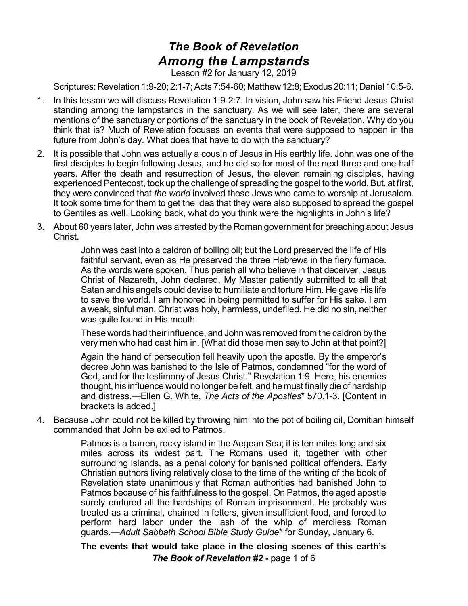## *The Book of Revelation Among the Lampstands*

Lesson #2 for January 12, 2019

Scriptures: Revelation 1:9-20; 2:1-7; Acts 7:54-60; Matthew 12:8; Exodus 20:11; Daniel 10:5-6.

- 1. In this lesson we will discuss Revelation 1:9-2:7. In vision, John saw his Friend Jesus Christ standing among the lampstands in the sanctuary. As we will see later, there are several mentions of the sanctuary or portions of the sanctuary in the book of Revelation. Why do you think that is? Much of Revelation focuses on events that were supposed to happen in the future from John's day. What does that have to do with the sanctuary?
- 2. It is possible that John was actually a cousin of Jesus in His earthly life. John was one of the first disciples to begin following Jesus, and he did so for most of the next three and one-half years. After the death and resurrection of Jesus, the eleven remaining disciples, having experienced Pentecost, took up the challenge of spreading the gospel to the world. But, at first, they were convinced that *the world* involved those Jews who came to worship at Jerusalem. It took some time for them to get the idea that they were also supposed to spread the gospel to Gentiles as well. Looking back, what do you think were the highlights in John's life?
- 3. About 60 years later, John was arrested by the Roman government for preaching about Jesus Christ.

John was cast into a caldron of boiling oil; but the Lord preserved the life of His faithful servant, even as He preserved the three Hebrews in the fiery furnace. As the words were spoken, Thus perish all who believe in that deceiver, Jesus Christ of Nazareth, John declared, My Master patiently submitted to all that Satan and his angels could devise to humiliate and torture Him. He gave His life to save the world. I am honored in being permitted to suffer for His sake. I am a weak, sinful man. Christ was holy, harmless, undefiled. He did no sin, neither was guile found in His mouth.

These words had their influence, and John was removed from the caldron by the very men who had cast him in. [What did those men say to John at that point?]

Again the hand of persecution fell heavily upon the apostle. By the emperor's decree John was banished to the Isle of Patmos, condemned "for the word of God, and for the testimony of Jesus Christ." Revelation 1:9. Here, his enemies thought, his influence would no longer be felt, and he must finally die of hardship and distress.—Ellen G. White, *The Acts of the Apostles*\* 570.1-3. [Content in brackets is added.]

4. Because John could not be killed by throwing him into the pot of boiling oil, Domitian himself commanded that John be exiled to Patmos.

> Patmos is a barren, rocky island in the Aegean Sea; it is ten miles long and six miles across its widest part. The Romans used it, together with other surrounding islands, as a penal colony for banished political offenders. Early Christian authors living relatively close to the time of the writing of the book of Revelation state unanimously that Roman authorities had banished John to Patmos because of his faithfulness to the gospel. On Patmos, the aged apostle surely endured all the hardships of Roman imprisonment. He probably was treated as a criminal, chained in fetters, given insufficient food, and forced to perform hard labor under the lash of the whip of merciless Roman guards.—*Adult Sabbath School Bible Study Guide*\* for Sunday, January 6.

> **The events that would take place in the closing scenes of this earth's** *The Book of Revelation #2* **-** page 1 of 6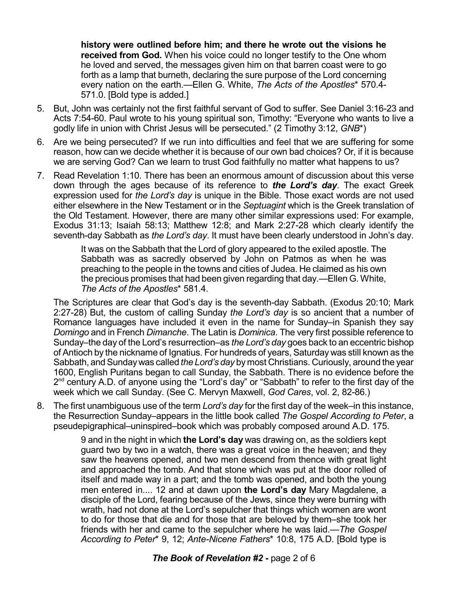**history were outlined before him; and there he wrote out the visions he received from God.** When his voice could no longer testify to the One whom he loved and served, the messages given him on that barren coast were to go forth as a lamp that burneth, declaring the sure purpose of the Lord concerning every nation on the earth.—Ellen G. White, *The Acts of the Apostles*\* 570.4- 571.0. [Bold type is added.]

- 5. But, John was certainly not the first faithful servant of God to suffer. See Daniel 3:16-23 and Acts 7:54-60. Paul wrote to his young spiritual son, Timothy: "Everyone who wants to live a godly life in union with Christ Jesus will be persecuted." (2 Timothy 3:12, *GNB*\*)
- 6. Are we being persecuted? If we run into difficulties and feel that we are suffering for some reason, how can we decide whether it is because of our own bad choices? Or, if it is because we are serving God? Can we learn to trust God faithfully no matter what happens to us?
- 7. Read Revelation 1:10. There has been an enormous amount of discussion about this verse down through the ages because of its reference to *the Lord's day*. The exact Greek expression used for *the Lord's day* is unique in the Bible. Those exact words are not used either elsewhere in the New Testament or in the *Septuagint* which is the Greek translation of the Old Testament. However, there are many other similar expressions used: For example, Exodus 31:13; Isaiah 58:13; Matthew 12:8; and Mark 2:27-28 which clearly identify the seventh-day Sabbath as *the Lord's day*. It must have been clearly understood in John's day.

It was on the Sabbath that the Lord of glory appeared to the exiled apostle. The Sabbath was as sacredly observed by John on Patmos as when he was preaching to the people in the towns and cities of Judea. He claimed as his own the precious promises that had been given regarding that day.—Ellen G. White, *The Acts of the Apostles*\* 581.4.

The Scriptures are clear that God's day is the seventh-day Sabbath. (Exodus 20:10; Mark 2:27-28) But, the custom of calling Sunday *the Lord's day* is so ancient that a number of Romance languages have included it even in the name for Sunday–in Spanish they say *Domingo* and in French *Dimanche*. The Latin is *Dominica*. The very first possible reference to Sunday–the day of the Lord's resurrection–as *the Lord's day* goes back to an eccentric bishop of Antioch by the nickname of Ignatius. For hundreds of years, Saturday was still known as the Sabbath, and Sunday was called *the Lord's day* by most Christians. Curiously, around the year 1600, English Puritans began to call Sunday, the Sabbath. There is no evidence before the 2<sup>nd</sup> century A.D. of anyone using the "Lord's day" or "Sabbath" to refer to the first day of the week which we call Sunday. (See C. Mervyn Maxwell, *God Cares*, vol. 2, 82-86.)

8. The first unambiguous use of the term *Lord's day* for the first day of the week–in this instance, the Resurrection Sunday–appears in the little book called *The Gospel According to Peter*, a pseudepigraphical–uninspired–book which was probably composed around A.D. 175.

> 9 and in the night in which **the Lord's day** was drawing on, as the soldiers kept guard two by two in a watch, there was a great voice in the heaven; and they saw the heavens opened, and two men descend from thence with great light and approached the tomb. And that stone which was put at the door rolled of itself and made way in a part; and the tomb was opened, and both the young men entered in.... 12 and at dawn upon **the Lord's day** Mary Magdalene, a disciple of the Lord, fearing because of the Jews, since they were burning with wrath, had not done at the Lord's sepulcher that things which women are wont to do for those that die and for those that are beloved by them–she took her friends with her and came to the sepulcher where he was laid.—*The Gospel According to Peter*\* 9, 12; *Ante-Nicene Fathers*\* 10:8, 175 A.D. [Bold type is

## *The Book of Revelation #2* **-** page 2 of 6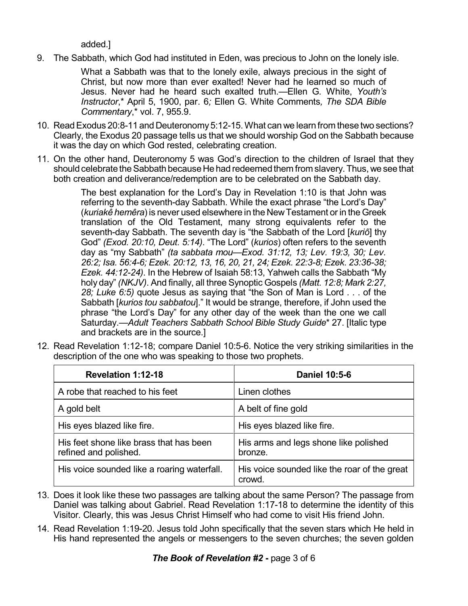added.]

9. The Sabbath, which God had instituted in Eden, was precious to John on the lonely isle.

What a Sabbath was that to the lonely exile, always precious in the sight of Christ, but now more than ever exalted! Never had he learned so much of Jesus. Never had he heard such exalted truth.—Ellen G. White, *Youth's Instructor*,\* April 5, 1900, par. 6*;* Ellen G. White Comments*, The SDA Bible Commentary*,\* vol. 7, 955.9.

- 10. ReadExodus 20:8-11 and Deuteronomy5:12-15.What can we learn from these two sections? Clearly, the Exodus 20 passage tells us that we should worship God on the Sabbath because it was the day on which God rested, celebrating creation.
- 11. On the other hand, Deuteronomy 5 was God's direction to the children of Israel that they should celebrate the Sabbath because He had redeemed them from slavery. Thus, we see that both creation and deliverance/redemption are to be celebrated on the Sabbath day.

The best explanation for the Lord's Day in Revelation 1:10 is that John was referring to the seventh-day Sabbath. While the exact phrase "the Lord's Day" (*kuriakê hemêra*) is never used elsewhere in the NewTestament or in the Greek translation of the Old Testament, many strong equivalents refer to the seventh-day Sabbath. The seventh day is "the Sabbath of the Lord [*kuriô*] thy God" *(Exod. 20:10, Deut. 5:14)*. "The Lord" (*kurios*) often refers to the seventh day as "my Sabbath" *(ta sabbata mou—Exod. 31:12, 13; Lev. 19:3, 30; Lev. 26:2; Isa. 56:4-6; Ezek. 20:12, 13, 16, 20, 21, 24; Ezek. 22:3-8; Ezek. 23:36-38; Ezek. 44:12-24)*. In the Hebrew of Isaiah 58:13, Yahweh calls the Sabbath "My holy day" *(NKJV)*. And finally, all three Synoptic Gospels *(Matt. 12:8; Mark 2:27, 28; Luke 6:5)* quote Jesus as saying that "the Son of Man is Lord . . . of the Sabbath [*kurios tou sabbatou*]." It would be strange, therefore, if John used the phrase "the Lord's Day" for any other day of the week than the one we call Saturday.—*Adult Teachers Sabbath School Bible Study Guide*\* 27. [Italic type and brackets are in the source.]

12. Read Revelation 1:12-18; compare Daniel 10:5-6. Notice the very striking similarities in the description of the one who was speaking to those two prophets.

| <b>Revelation 1:12-18</b>                                        | <b>Daniel 10:5-6</b>                                  |
|------------------------------------------------------------------|-------------------------------------------------------|
| A robe that reached to his feet                                  | Linen clothes                                         |
| A gold belt                                                      | A belt of fine gold                                   |
| His eyes blazed like fire.                                       | His eyes blazed like fire.                            |
| His feet shone like brass that has been<br>refined and polished. | His arms and legs shone like polished<br>bronze.      |
| His voice sounded like a roaring waterfall.                      | His voice sounded like the roar of the great<br>crowd |

- 13. Does it look like these two passages are talking about the same Person? The passage from Daniel was talking about Gabriel. Read Revelation 1:17-18 to determine the identity of this Visitor. Clearly, this was Jesus Christ Himself who had come to visit His friend John.
- 14. Read Revelation 1:19-20. Jesus told John specifically that the seven stars which He held in His hand represented the angels or messengers to the seven churches; the seven golden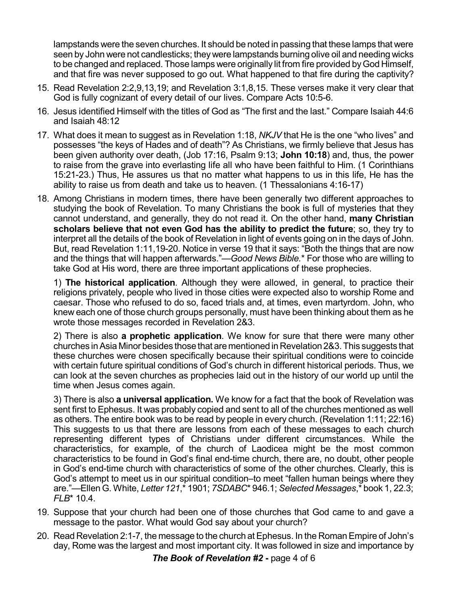lampstands were the seven churches. It should be noted in passing that these lamps that were seen by John were not candlesticks; theywere lampstands burning olive oil and needing wicks to be changed and replaced. Those lamps were originally lit from fire provided by God Himself, and that fire was never supposed to go out. What happened to that fire during the captivity?

- 15. Read Revelation 2:2,9,13,19; and Revelation 3:1,8,15. These verses make it very clear that God is fully cognizant of every detail of our lives. Compare Acts 10:5-6.
- 16. Jesus identified Himself with the titles of God as "The first and the last." Compare Isaiah 44:6 and Isaiah 48:12
- 17. What does it mean to suggest as in Revelation 1:18, *NKJV* that He is the one "who lives" and possesses "the keys of Hades and of death"? As Christians, we firmly believe that Jesus has been given authority over death, (Job 17:16, Psalm 9:13; **John 10:18**) and, thus, the power to raise from the grave into everlasting life all who have been faithful to Him. (1 Corinthians 15:21-23.) Thus, He assures us that no matter what happens to us in this life, He has the ability to raise us from death and take us to heaven. (1 Thessalonians 4:16-17)
- 18. Among Christians in modern times, there have been generally two different approaches to studying the book of Revelation. To many Christians the book is full of mysteries that they cannot understand, and generally, they do not read it. On the other hand, **many Christian scholars believe that not even God has the ability to predict the future**; so, they try to interpret all the details of the book of Revelation in light of events going on in the days of John. But, read Revelation 1:11,19-20. Notice in verse 19 that it says: "Both the things that are now and the things that will happen afterwards."—*Good News Bible.*\* For those who are willing to take God at His word, there are three important applications of these prophecies.

1) **The historical application**. Although they were allowed, in general, to practice their religions privately, people who lived in those cities were expected also to worship Rome and caesar. Those who refused to do so, faced trials and, at times, even martyrdom. John, who knew each one of those church groups personally, must have been thinking about them as he wrote those messages recorded in Revelation 2&3.

2) There is also **a prophetic application**. We know for sure that there were many other churches inAsia Minor besides thosethat are mentioned inRevelation 2&3.This suggests that these churches were chosen specifically because their spiritual conditions were to coincide with certain future spiritual conditions of God's church in different historical periods. Thus, we can look at the seven churches as prophecies laid out in the history of our world up until the time when Jesus comes again.

3) There is also **a universal application.** We know for a fact that the book of Revelation was sent first to Ephesus. It was probably copied and sent to all of the churches mentioned as well as others. The entire book was to be read by people in every church. (Revelation 1:11; 22:16) This suggests to us that there are lessons from each of these messages to each church representing different types of Christians under different circumstances. While the characteristics, for example, of the church of Laodicea might be the most common characteristics to be found in God's final end-time church, there are, no doubt, other people in God's end-time church with characteristics of some of the other churches. Clearly, this is God's attempt to meet us in our spiritual condition–to meet "fallen human beings where they are."—Ellen G. White, *Letter 121*,\* 1901; *7SDABC*\* 946.1; *Selected Messages*,\* book 1, 22.3; *FLB*\* 10.4.

- 19. Suppose that your church had been one of those churches that God came to and gave a message to the pastor. What would God say about your church?
- 20. Read Revelation 2:1-7, the message to the church at Ephesus. In the Roman Empire of John's day, Rome was the largest and most important city. It was followed in size and importance by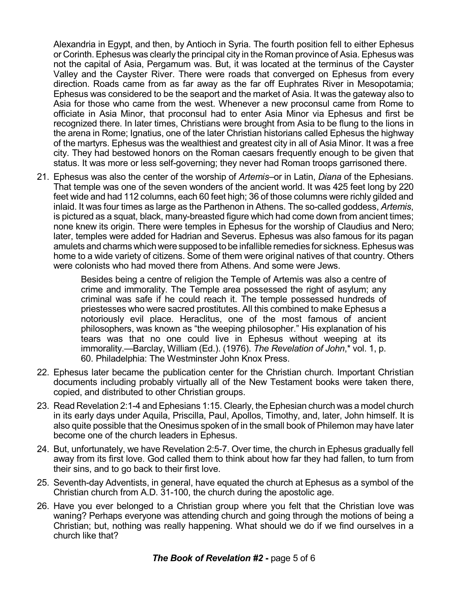Alexandria in Egypt, and then, by Antioch in Syria. The fourth position fell to either Ephesus or Corinth. Ephesus was clearly the principal city in the Roman province of Asia. Ephesus was not the capital of Asia, Pergamum was. But, it was located at the terminus of the Cayster Valley and the Cayster River. There were roads that converged on Ephesus from every direction. Roads came from as far away as the far off Euphrates River in Mesopotamia; Ephesus was considered to be the seaport and the market of Asia. It was the gateway also to Asia for those who came from the west. Whenever a new proconsul came from Rome to officiate in Asia Minor, that proconsul had to enter Asia Minor via Ephesus and first be recognized there. In later times, Christians were brought from Asia to be flung to the lions in the arena in Rome; Ignatius, one of the later Christian historians called Ephesus the highway of the martyrs. Ephesus was the wealthiest and greatest city in all of Asia Minor. It was a free city. They had bestowed honors on the Roman caesars frequently enough to be given that status. It was more or less self-governing; they never had Roman troops garrisoned there.

21. Ephesus was also the center of the worship of *Artemis*–or in Latin, *Diana* of the Ephesians. That temple was one of the seven wonders of the ancient world. It was 425 feet long by 220 feet wide and had 112 columns, each 60 feet high; 36 of those columns were richly gilded and inlaid. It was four times as large as the Parthenon in Athens. The so-called goddess, *Artemis*, is pictured as a squat, black, many-breasted figure which had come down from ancient times; none knew its origin. There were temples in Ephesus for the worship of Claudius and Nero; later, temples were added for Hadrian and Severus. Ephesus was also famous for its pagan amulets and charms which were supposed to be infallible remedies for sickness.Ephesus was home to a wide variety of citizens. Some of them were original natives of that country. Others were colonists who had moved there from Athens. And some were Jews.

> Besides being a centre of religion the Temple of Artemis was also a centre of crime and immorality. The Temple area possessed the right of asylum; any criminal was safe if he could reach it. The temple possessed hundreds of priestesses who were sacred prostitutes. All this combined to make Ephesus a notoriously evil place. Heraclitus, one of the most famous of ancient philosophers, was known as "the weeping philosopher." His explanation of his tears was that no one could live in Ephesus without weeping at its immorality.—Barclay, William (Ed.). (1976). *The Revelation of John*,\* vol. 1, p. 60. Philadelphia: The Westminster John Knox Press.

- 22. Ephesus later became the publication center for the Christian church. Important Christian documents including probably virtually all of the New Testament books were taken there, copied, and distributed to other Christian groups.
- 23. Read Revelation 2:1-4 and Ephesians 1:15. Clearly, theEphesian church was a model church in its early days under Aquila, Priscilla, Paul, Apollos, Timothy, and, later, John himself. It is also quite possible that the Onesimus spoken of in the small book of Philemon may have later become one of the church leaders in Ephesus.
- 24. But, unfortunately, we have Revelation 2:5-7. Over time, the church in Ephesus gradually fell away from its first love. God called them to think about how far they had fallen, to turn from their sins, and to go back to their first love.
- 25. Seventh-day Adventists, in general, have equated the church at Ephesus as a symbol of the Christian church from A.D. 31-100, the church during the apostolic age.
- 26. Have you ever belonged to a Christian group where you felt that the Christian love was waning? Perhaps everyone was attending church and going through the motions of being a Christian; but, nothing was really happening. What should we do if we find ourselves in a church like that?